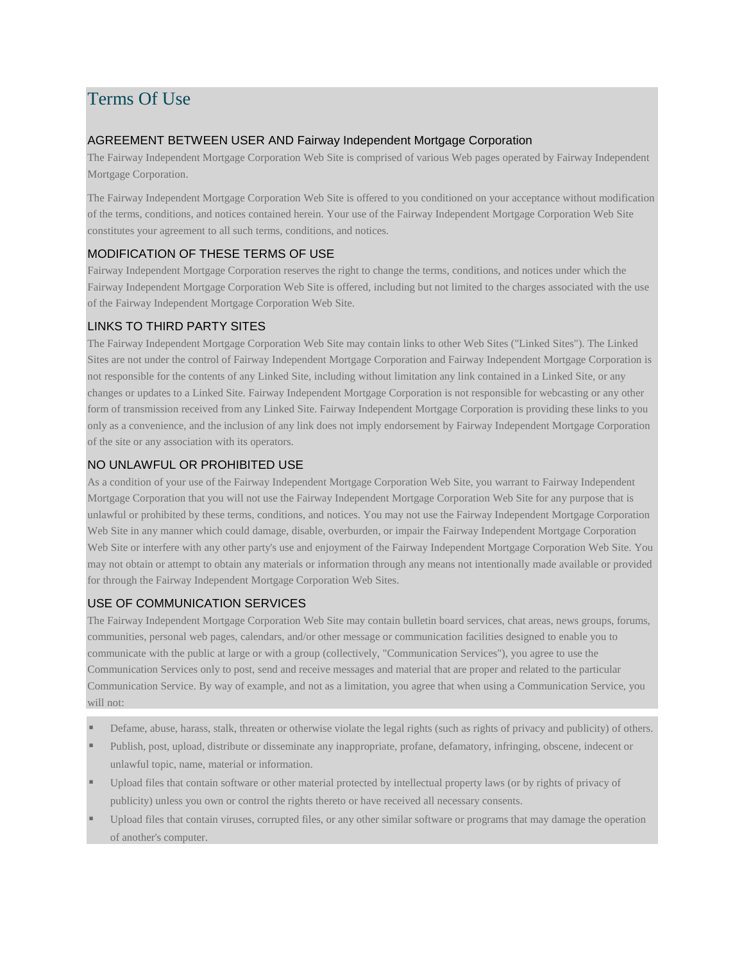# Terms Of Use

#### AGREEMENT BETWEEN USER AND Fairway Independent Mortgage Corporation

The Fairway Independent Mortgage Corporation Web Site is comprised of various Web pages operated by Fairway Independent Mortgage Corporation.

The Fairway Independent Mortgage Corporation Web Site is offered to you conditioned on your acceptance without modification of the terms, conditions, and notices contained herein. Your use of the Fairway Independent Mortgage Corporation Web Site constitutes your agreement to all such terms, conditions, and notices.

## MODIFICATION OF THESE TERMS OF USE

Fairway Independent Mortgage Corporation reserves the right to change the terms, conditions, and notices under which the Fairway Independent Mortgage Corporation Web Site is offered, including but not limited to the charges associated with the use of the Fairway Independent Mortgage Corporation Web Site.

# LINKS TO THIRD PARTY SITES

The Fairway Independent Mortgage Corporation Web Site may contain links to other Web Sites ("Linked Sites"). The Linked Sites are not under the control of Fairway Independent Mortgage Corporation and Fairway Independent Mortgage Corporation is not responsible for the contents of any Linked Site, including without limitation any link contained in a Linked Site, or any changes or updates to a Linked Site. Fairway Independent Mortgage Corporation is not responsible for webcasting or any other form of transmission received from any Linked Site. Fairway Independent Mortgage Corporation is providing these links to you only as a convenience, and the inclusion of any link does not imply endorsement by Fairway Independent Mortgage Corporation of the site or any association with its operators.

# NO UNLAWFUL OR PROHIBITED USE

As a condition of your use of the Fairway Independent Mortgage Corporation Web Site, you warrant to Fairway Independent Mortgage Corporation that you will not use the Fairway Independent Mortgage Corporation Web Site for any purpose that is unlawful or prohibited by these terms, conditions, and notices. You may not use the Fairway Independent Mortgage Corporation Web Site in any manner which could damage, disable, overburden, or impair the Fairway Independent Mortgage Corporation Web Site or interfere with any other party's use and enjoyment of the Fairway Independent Mortgage Corporation Web Site. You may not obtain or attempt to obtain any materials or information through any means not intentionally made available or provided for through the Fairway Independent Mortgage Corporation Web Sites.

## USE OF COMMUNICATION SERVICES

The Fairway Independent Mortgage Corporation Web Site may contain bulletin board services, chat areas, news groups, forums, communities, personal web pages, calendars, and/or other message or communication facilities designed to enable you to communicate with the public at large or with a group (collectively, "Communication Services"), you agree to use the Communication Services only to post, send and receive messages and material that are proper and related to the particular Communication Service. By way of example, and not as a limitation, you agree that when using a Communication Service, you will not:

- Defame, abuse, harass, stalk, threaten or otherwise violate the legal rights (such as rights of privacy and publicity) of others.
- Publish, post, upload, distribute or disseminate any inappropriate, profane, defamatory, infringing, obscene, indecent or unlawful topic, name, material or information.
- Upload files that contain software or other material protected by intellectual property laws (or by rights of privacy of publicity) unless you own or control the rights thereto or have received all necessary consents.
- Upload files that contain viruses, corrupted files, or any other similar software or programs that may damage the operation of another's computer.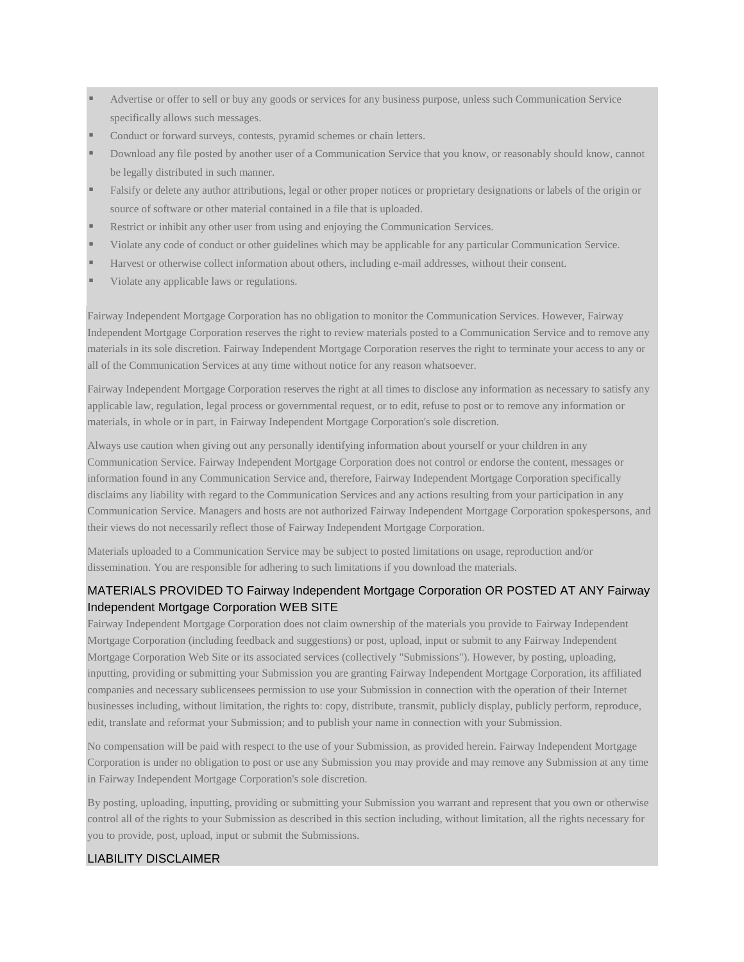Advertise or offer to sell or buy any goods or services for any business purpose, unless such Communication Service specifically allows such messages.

- Conduct or forward surveys, contests, pyramid schemes or chain letters.
- Download any file posted by another user of a Communication Service that you know, or reasonably should know, cannot be legally distributed in such manner.
- Falsify or delete any author attributions, legal or other proper notices or proprietary designations or labels of the origin or source of software or other material contained in a file that is uploaded.
- Restrict or inhibit any other user from using and enjoying the Communication Services.
- Violate any code of conduct or other guidelines which may be applicable for any particular Communication Service.
- Harvest or otherwise collect information about others, including e-mail addresses, without their consent.
- Violate any applicable laws or regulations.

Fairway Independent Mortgage Corporation has no obligation to monitor the Communication Services. However, Fairway Independent Mortgage Corporation reserves the right to review materials posted to a Communication Service and to remove any materials in its sole discretion. Fairway Independent Mortgage Corporation reserves the right to terminate your access to any or all of the Communication Services at any time without notice for any reason whatsoever.

Fairway Independent Mortgage Corporation reserves the right at all times to disclose any information as necessary to satisfy any applicable law, regulation, legal process or governmental request, or to edit, refuse to post or to remove any information or materials, in whole or in part, in Fairway Independent Mortgage Corporation's sole discretion.

Always use caution when giving out any personally identifying information about yourself or your children in any Communication Service. Fairway Independent Mortgage Corporation does not control or endorse the content, messages or information found in any Communication Service and, therefore, Fairway Independent Mortgage Corporation specifically disclaims any liability with regard to the Communication Services and any actions resulting from your participation in any Communication Service. Managers and hosts are not authorized Fairway Independent Mortgage Corporation spokespersons, and their views do not necessarily reflect those of Fairway Independent Mortgage Corporation.

Materials uploaded to a Communication Service may be subject to posted limitations on usage, reproduction and/or dissemination. You are responsible for adhering to such limitations if you download the materials.

### MATERIALS PROVIDED TO Fairway Independent Mortgage Corporation OR POSTED AT ANY Fairway Independent Mortgage Corporation WEB SITE

Fairway Independent Mortgage Corporation does not claim ownership of the materials you provide to Fairway Independent Mortgage Corporation (including feedback and suggestions) or post, upload, input or submit to any Fairway Independent Mortgage Corporation Web Site or its associated services (collectively "Submissions"). However, by posting, uploading, inputting, providing or submitting your Submission you are granting Fairway Independent Mortgage Corporation, its affiliated companies and necessary sublicensees permission to use your Submission in connection with the operation of their Internet businesses including, without limitation, the rights to: copy, distribute, transmit, publicly display, publicly perform, reproduce, edit, translate and reformat your Submission; and to publish your name in connection with your Submission.

No compensation will be paid with respect to the use of your Submission, as provided herein. Fairway Independent Mortgage Corporation is under no obligation to post or use any Submission you may provide and may remove any Submission at any time in Fairway Independent Mortgage Corporation's sole discretion.

By posting, uploading, inputting, providing or submitting your Submission you warrant and represent that you own or otherwise control all of the rights to your Submission as described in this section including, without limitation, all the rights necessary for you to provide, post, upload, input or submit the Submissions.

### LIABILITY DISCLAIMER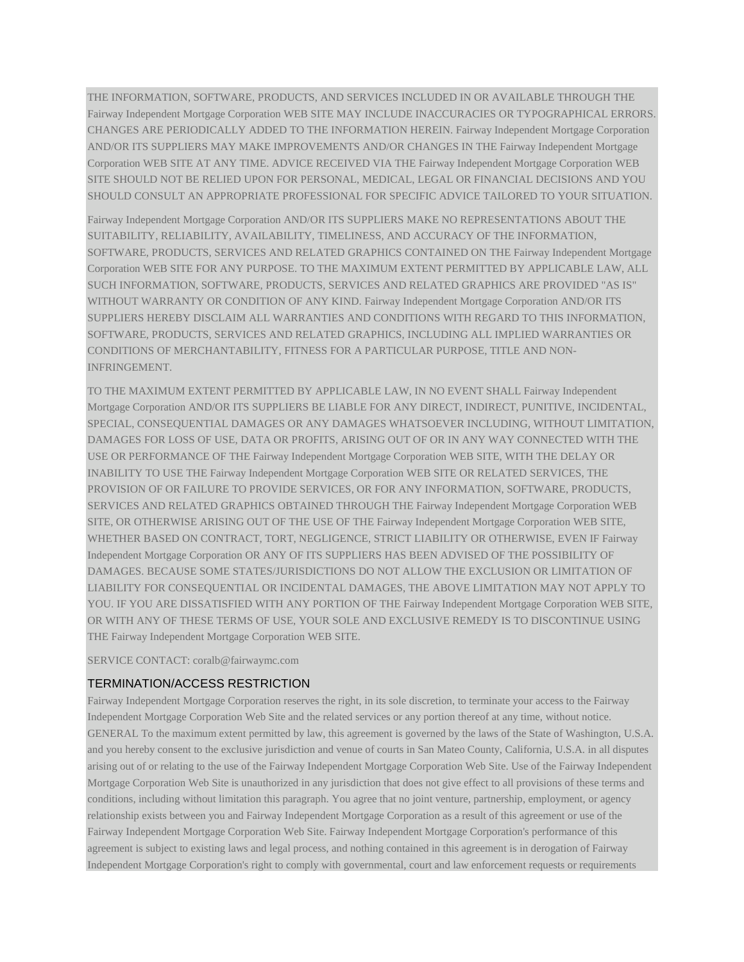THE INFORMATION, SOFTWARE, PRODUCTS, AND SERVICES INCLUDED IN OR AVAILABLE THROUGH THE Fairway Independent Mortgage Corporation WEB SITE MAY INCLUDE INACCURACIES OR TYPOGRAPHICAL ERRORS. CHANGES ARE PERIODICALLY ADDED TO THE INFORMATION HEREIN. Fairway Independent Mortgage Corporation AND/OR ITS SUPPLIERS MAY MAKE IMPROVEMENTS AND/OR CHANGES IN THE Fairway Independent Mortgage Corporation WEB SITE AT ANY TIME. ADVICE RECEIVED VIA THE Fairway Independent Mortgage Corporation WEB SITE SHOULD NOT BE RELIED UPON FOR PERSONAL, MEDICAL, LEGAL OR FINANCIAL DECISIONS AND YOU SHOULD CONSULT AN APPROPRIATE PROFESSIONAL FOR SPECIFIC ADVICE TAILORED TO YOUR SITUATION.

Fairway Independent Mortgage Corporation AND/OR ITS SUPPLIERS MAKE NO REPRESENTATIONS ABOUT THE SUITABILITY, RELIABILITY, AVAILABILITY, TIMELINESS, AND ACCURACY OF THE INFORMATION, SOFTWARE, PRODUCTS, SERVICES AND RELATED GRAPHICS CONTAINED ON THE Fairway Independent Mortgage Corporation WEB SITE FOR ANY PURPOSE. TO THE MAXIMUM EXTENT PERMITTED BY APPLICABLE LAW, ALL SUCH INFORMATION, SOFTWARE, PRODUCTS, SERVICES AND RELATED GRAPHICS ARE PROVIDED "AS IS" WITHOUT WARRANTY OR CONDITION OF ANY KIND. Fairway Independent Mortgage Corporation AND/OR ITS SUPPLIERS HEREBY DISCLAIM ALL WARRANTIES AND CONDITIONS WITH REGARD TO THIS INFORMATION, SOFTWARE, PRODUCTS, SERVICES AND RELATED GRAPHICS, INCLUDING ALL IMPLIED WARRANTIES OR CONDITIONS OF MERCHANTABILITY, FITNESS FOR A PARTICULAR PURPOSE, TITLE AND NON-INFRINGEMENT.

TO THE MAXIMUM EXTENT PERMITTED BY APPLICABLE LAW, IN NO EVENT SHALL Fairway Independent Mortgage Corporation AND/OR ITS SUPPLIERS BE LIABLE FOR ANY DIRECT, INDIRECT, PUNITIVE, INCIDENTAL, SPECIAL, CONSEQUENTIAL DAMAGES OR ANY DAMAGES WHATSOEVER INCLUDING, WITHOUT LIMITATION, DAMAGES FOR LOSS OF USE, DATA OR PROFITS, ARISING OUT OF OR IN ANY WAY CONNECTED WITH THE USE OR PERFORMANCE OF THE Fairway Independent Mortgage Corporation WEB SITE, WITH THE DELAY OR INABILITY TO USE THE Fairway Independent Mortgage Corporation WEB SITE OR RELATED SERVICES, THE PROVISION OF OR FAILURE TO PROVIDE SERVICES, OR FOR ANY INFORMATION, SOFTWARE, PRODUCTS, SERVICES AND RELATED GRAPHICS OBTAINED THROUGH THE Fairway Independent Mortgage Corporation WEB SITE, OR OTHERWISE ARISING OUT OF THE USE OF THE Fairway Independent Mortgage Corporation WEB SITE, WHETHER BASED ON CONTRACT, TORT, NEGLIGENCE, STRICT LIABILITY OR OTHERWISE, EVEN IF Fairway Independent Mortgage Corporation OR ANY OF ITS SUPPLIERS HAS BEEN ADVISED OF THE POSSIBILITY OF DAMAGES. BECAUSE SOME STATES/JURISDICTIONS DO NOT ALLOW THE EXCLUSION OR LIMITATION OF LIABILITY FOR CONSEQUENTIAL OR INCIDENTAL DAMAGES, THE ABOVE LIMITATION MAY NOT APPLY TO YOU. IF YOU ARE DISSATISFIED WITH ANY PORTION OF THE Fairway Independent Mortgage Corporation WEB SITE, OR WITH ANY OF THESE TERMS OF USE, YOUR SOLE AND EXCLUSIVE REMEDY IS TO DISCONTINUE USING THE Fairway Independent Mortgage Corporation WEB SITE.

SERVICE CONTACT: coralb@fairwaymc.com

#### TERMINATION/ACCESS RESTRICTION

Fairway Independent Mortgage Corporation reserves the right, in its sole discretion, to terminate your access to the Fairway Independent Mortgage Corporation Web Site and the related services or any portion thereof at any time, without notice. GENERAL To the maximum extent permitted by law, this agreement is governed by the laws of the State of Washington, U.S.A. and you hereby consent to the exclusive jurisdiction and venue of courts in San Mateo County, California, U.S.A. in all disputes arising out of or relating to the use of the Fairway Independent Mortgage Corporation Web Site. Use of the Fairway Independent Mortgage Corporation Web Site is unauthorized in any jurisdiction that does not give effect to all provisions of these terms and conditions, including without limitation this paragraph. You agree that no joint venture, partnership, employment, or agency relationship exists between you and Fairway Independent Mortgage Corporation as a result of this agreement or use of the Fairway Independent Mortgage Corporation Web Site. Fairway Independent Mortgage Corporation's performance of this agreement is subject to existing laws and legal process, and nothing contained in this agreement is in derogation of Fairway Independent Mortgage Corporation's right to comply with governmental, court and law enforcement requests or requirements